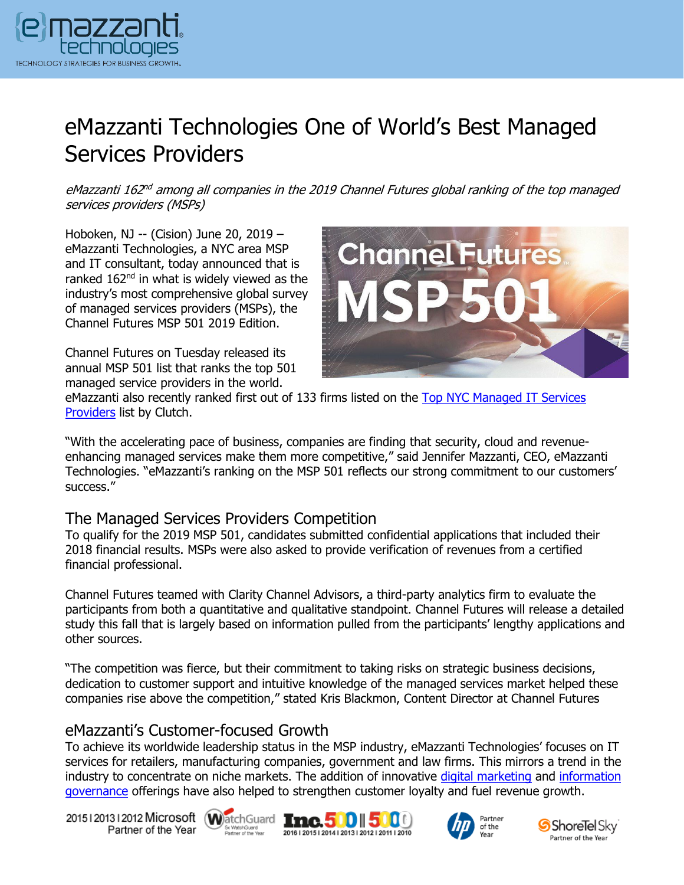

# eMazzanti Technologies One of World's Best Managed Services Providers

eMazzanti 162<sup>nd</sup> among all companies in the 2019 Channel Futures global ranking of the top managed services providers (MSPs)

Hoboken, NJ -- (Cision) June 20, 2019 – eMazzanti Technologies, a NYC area MSP and IT consultant, today announced that is ranked  $162<sup>nd</sup>$  in what is widely viewed as the industry's most comprehensive global survey of managed services providers (MSPs), the Channel Futures MSP 501 2019 Edition.

Channel Futures on Tuesday released its annual MSP 501 list that ranks the top 501 managed service providers in the world.



eMazzanti also recently ranked first out of 133 firms listed on the [Top NYC Managed IT Services](https://www.emazzanti.net/top-managed-it-service-provider/) [Providers](https://www.emazzanti.net/top-managed-it-service-provider/) list by Clutch.

"With the accelerating pace of business, companies are finding that security, cloud and revenueenhancing managed services make them more competitive," said Jennifer Mazzanti, CEO, eMazzanti Technologies. "eMazzanti's ranking on the MSP 501 reflects our strong commitment to our customers' success."

## The Managed Services Providers Competition

To qualify for the 2019 MSP 501, candidates submitted confidential applications that included their 2018 financial results. MSPs were also asked to provide verification of revenues from a certified financial professional.

Channel Futures teamed with Clarity Channel Advisors, a third-party analytics firm to evaluate the participants from both a quantitative and qualitative standpoint. Channel Futures will release a detailed study this fall that is largely based on information pulled from the participants' lengthy applications and other sources.

"The competition was fierce, but their commitment to taking risks on strategic business decisions, dedication to customer support and intuitive knowledge of the managed services market helped these companies rise above the competition," stated Kris Blackmon, Content Director at Channel Futures

## eMazzanti's Customer-focused Growth

To achieve its worldwide leadership status in the MSP industry, eMazzanti Technologies' focuses on IT services for retailers, manufacturing companies, government and law firms. This mirrors a trend in the industry to concentrate on niche markets. The addition of innovative [digital marketing](https://www.emazzanti.net/services/digital-marketing-website-design/) and [information](https://messagingarchitects.com/information-governance/)  [governance](https://messagingarchitects.com/information-governance/) offerings have also helped to strengthen customer loyalty and fuel revenue growth.

20151201312012 Microsoft WatchGuard **Inc.500 500** Partner of the Year